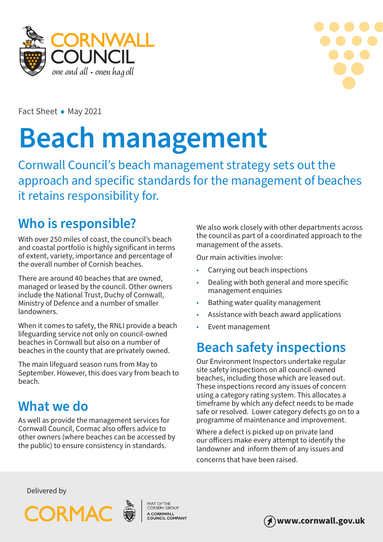



Fact Sheet • May 2021

# **Beach management**

Cornwall Council's beach management strategy sets out the approach and specific standards for the management of beaches it retains responsibility for.

## **Who is responsible?**

With over 250 miles of coast, the council's beach and coastal portfolio is highly significant in terms of extent, variety, importance and percentage of the overall number of Cornish beaches.

There are around 40 beaches that are owned, managed or leased by the council. Other owners include the National Trust, Duchy of Cornwall, Ministry of Defence and a number of smaller landowners.

When it comes to safety, the RNLI provide a beach lifeguarding service not only on council-owned beaches in Cornwall but also on a number of beaches in the county that are privately owned.

The main lifeguard season runs from May to September. However, this does vary from beach to beach.

## **What we do**

As well as provide the management services for Cornwall Council, Cormac also offers advice to other owners (where beaches can be accessed by the public) to ensure consistency in standards.

We also work closely with other departments across the council as part of a coordinated approach to the management of the assets.

Our main activities involve:

- Carrying out beach inspections
- Dealing with both general and more specific management enquiries
- Bathing water quality management
- Assistance with beach award applications
- Event management

## **Beach safety inspections**

Our Environment Inspectors undertake regular site safety inspections on all council-owned beaches, including those which are leased out. These inspections record any issues of concern using a category rating system. This allocates a timeframe by which any defect needs to be made safe or resolved. Lower category defects go on to a programme of maintenance and improvement.

Where a defect is picked up on private land our officers make every attempt to identify the landowner and inform them of any issues and concerns that have been raised.

Delivered by



A CORNWALL<br>COUNCIL COMPANY